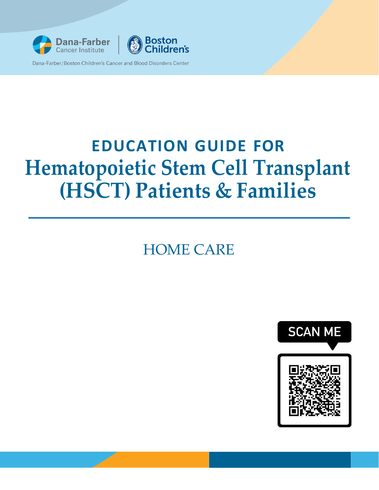



# **EDUCATION GUIDE FOR Hematopoietic Stem Cell Transplant (HSCT) Patients & Families**

## HOME CARE

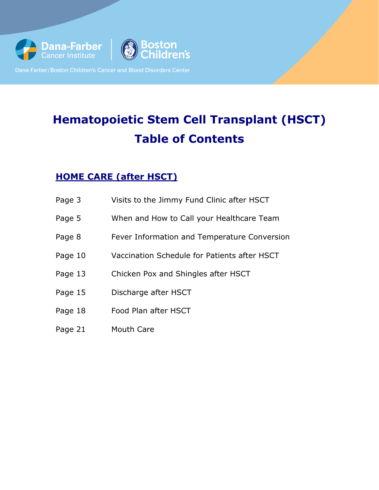

## **Hematopoietic Stem Cell Transplant (HSCT) Table of Contents**

## **HOME CARE (after HSCT)**

- Page 3 Visits to the Jimmy Fund Clinic after HSCT
- Page 5 When and How to Call your Healthcare Team
- Page 8 Fever Information and Temperature Conversion
- Page 10 Vaccination Schedule for Patients after HSCT
- Page 13 Chicken Pox and Shingles after HSCT
- Page 15 Discharge after HSCT
- Page 18 Food Plan after HSCT
- Page 21 Mouth Care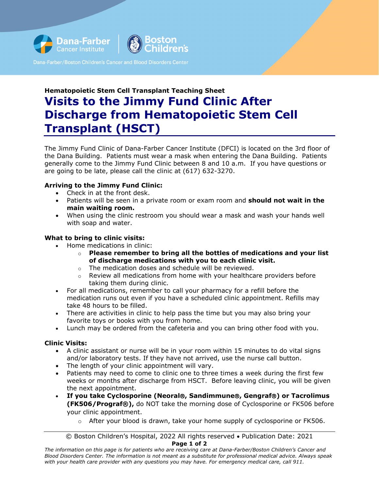

## **Hematopoietic Stem Cell Transplant Teaching Sheet Visits to the Jimmy Fund Clinic After Discharge from Hematopoietic Stem Cell Transplant (HSCT)**

The Jimmy Fund Clinic of Dana-Farber Cancer Institute (DFCI) is located on the 3rd floor of the Dana Building. Patients must wear a mask when entering the Dana Building. Patients generally come to the Jimmy Fund Clinic between 8 and 10 a.m. If you have questions or are going to be late, please call the clinic at (617) 632-3270.

#### **Arriving to the Jimmy Fund Clinic:**

- Check in at the front desk.
- Patients will be seen in a private room or exam room and **should not wait in the main waiting room.**
- When using the clinic restroom you should wear a mask and wash your hands well with soap and water.

#### **What to bring to clinic visits:**

- Home medications in clinic:
	- o **Please remember to bring all the bottles of medications and your list of discharge medications with you to each clinic visit.**
	- o The medication doses and schedule will be reviewed.
	- $\circ$  Review all medications from home with your healthcare providers before taking them during clinic.
- For all medications, remember to call your pharmacy for a refill before the medication runs out even if you have a scheduled clinic appointment. Refills may take 48 hours to be filled.
- There are activities in clinic to help pass the time but you may also bring your favorite toys or books with you from home.
- Lunch may be ordered from the cafeteria and you can bring other food with you.

#### **Clinic Visits:**

- A clinic assistant or nurse will be in your room within 15 minutes to do vital signs and/or laboratory tests. If they have not arrived, use the nurse call button.
- The length of your clinic appointment will vary.
- Patients may need to come to clinic one to three times a week during the first few weeks or months after discharge from HSCT. Before leaving clinic, you will be given the next appointment.
- **If you take Cyclosporine (Neoral, Sandimmune, Gengraf) or Tacrolimus (FK506/Prograf®),** do NOT take the morning dose of Cyclosporine or FK506 before your clinic appointment.
	- $\circ$  After your blood is drawn, take your home supply of cyclosporine or FK506.

<sup>©</sup> Boston Children's Hospital, 2022 All rights reserved • Publication Date: 2021 **Page 1 of 2**

*The information on this page is for patients who are receiving care at Dana-Farber/Boston Children's Cancer and Blood Disorders Center. The information is not meant as a substitute for professional medical advice. Always speak with your health care provider with any questions you may have. For emergency medical care, call 911.*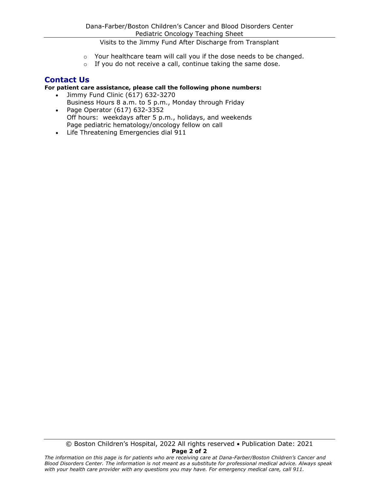Visits to the Jimmy Fund After Discharge from Transplant

- o Your healthcare team will call you if the dose needs to be changed.
- o If you do not receive a call, continue taking the same dose.

#### **Contact Us**

#### **For patient care assistance, please call the following phone numbers:**

- Jimmy Fund Clinic (617) 632-3270 Business Hours 8 a.m. to 5 p.m., Monday through Friday • Page Operator (617) 632-3352
- Off hours: weekdays after 5 p.m., holidays, and weekends Page pediatric hematology/oncology fellow on call
- Life Threatening Emergencies dial 911

*The information on this page is for patients who are receiving care at Dana-Farber/Boston Children's Cancer and Blood Disorders Center. The information is not meant as a substitute for professional medical advice. Always speak with your health care provider with any questions you may have. For emergency medical care, call 911.*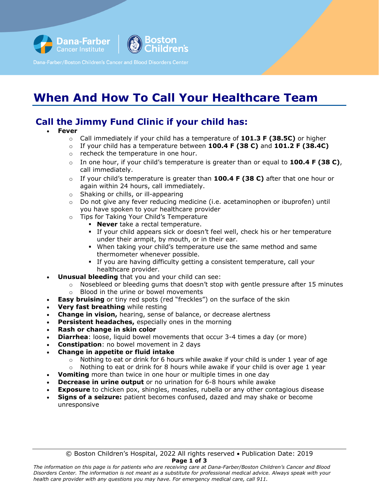



## **When And How To Call Your Healthcare Team**

## **Call the Jimmy Fund Clinic if your child has:**

#### • **Fever**

- o Call immediately if your child has a temperature of **101.3 F (38.5C)** or higher
- o If your child has a temperature between **100.4 F (38 C)** and **101.2 F (38.4C)**
- o recheck the temperature in one hour.
- o In one hour, if your child's temperature is greater than or equal to **100.4 F (38 C)**, call immediately.
- o If your child's temperature is greater than **100.4 F (38 C)** after that one hour or again within 24 hours, call immediately.
- $\circ$  Shaking or chills, or ill-appearing<br> $\circ$  Do not give any fever reducing m
- Do not give any fever reducing medicine (i.e. acetaminophen or ibuprofen) until you have spoken to your healthcare provider
- o Tips for Taking Your Child's Temperature
	- **Never** take a rectal temperature.
	- If your child appears sick or doesn't feel well, check his or her temperature under their armpit, by mouth, or in their ear.
	- When taking your child's temperature use the same method and same thermometer whenever possible.
	- If you are having difficulty getting a consistent temperature, call your healthcare provider.
- **Unusual bleeding** that you and your child can see:
	- $\circ$  Nosebleed or bleeding gums that doesn't stop with gentle pressure after 15 minutes
	- o Blood in the urine or bowel movements
- **Easy bruising** or tiny red spots (red "freckles") on the surface of the skin
- **Very fast breathing** while resting
- **Change in vision,** hearing, sense of balance, or decrease alertness
- **Persistent headaches, especially ones in the morning**
- **Rash or change in skin color**
- **Diarrhea**: loose, liquid bowel movements that occur 3-4 times a day (or more)
- **Constipation**: no bowel movement in 2 days
- **Change in appetite or fluid intake** 
	- $\circ$  Nothing to eat or drink for 6 hours while awake if your child is under 1 year of age<br> $\circ$  Nothing to eat or drink for 8 hours while awake if vour child is over age 1 year
	- Nothing to eat or drink for 8 hours while awake if your child is over age 1 year
- **Vomiting** more than twice in one hour or multiple times in one day
- **Decrease in urine output** or no urination for 6-8 hours while awake
- **Exposure** to chicken pox, shingles, measles, rubella or any other contagious disease
- **Signs of a seizure:** patient becomes confused, dazed and may shake or become unresponsive

© Boston Children's Hospital, 2022 All rights reserved • Publication Date: 2019 **Page 1 of 3**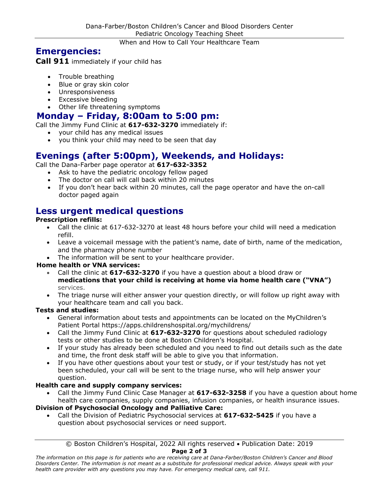When and How to Call Your Healthcare Team

## **Emergencies:**

**Call 911** immediately if your child has

- Trouble breathing
- Blue or gray skin color
- Unresponsiveness
- Excessive bleeding
- Other life threatening symptoms

## **Monday – Friday, 8:00am to 5:00 pm:**

Call the Jimmy Fund Clinic at **617-632-3270** immediately if:

- your child has any medical issues
- you think your child may need to be seen that day

## **Evenings (after 5:00pm), Weekends, and Holidays:**

Call the Dana-Farber page operator at **617-632-3352**

- Ask to have the pediatric oncology fellow paged
- The doctor on call will call back within 20 minutes
- If you don't hear back within 20 minutes, call the page operator and have the on-call doctor paged again

## **Less urgent medical questions Prescription refills:**

- Call the clinic at 617-632-3270 at least 48 hours before your child will need a medication refill.
- Leave a voicemail message with the patient's name, date of birth, name of the medication, and the pharmacy phone number
- The information will be sent to your healthcare provider.

#### **Home health or VNA services:**

- Call the clinic at **617-632-3270** if you have a question about a blood draw or **medications that your child is receiving at home via home health care ("VNA")** services.
- The triage nurse will either answer your question directly, or will follow up right away with your healthcare team and call you back.

#### **Tests and studies:**

- General information about tests and appointments can be located on the MyChildren's Patient Portal https://apps.childrenshospital.org/mychildrens/
- Call the Jimmy Fund Clinic at **617-632-3270** for questions about scheduled radiology tests or other studies to be done at Boston Children's Hospital.
- If your study has already been scheduled and you need to find out details such as the date and time, the front desk staff will be able to give you that information.
- If you have other questions about your test or study, or if your test/study has not yet been scheduled, your call will be sent to the triage nurse, who will help answer your question.

#### **Health care and supply company services:**

• Call the Jimmy Fund Clinic Case Manager at **617-632-3258** if you have a question about home health care companies, supply companies, infusion companies, or health insurance issues.

#### **Division of Psychosocial Oncology and Palliative Care:**

• Call the Division of Pediatric Psychosocial services at **617-632-5425** if you have a question about psychosocial services or need support.

## © Boston Children's Hospital, 2022 All rights reserved • Publication Date: 2019

**Page 2 of 3**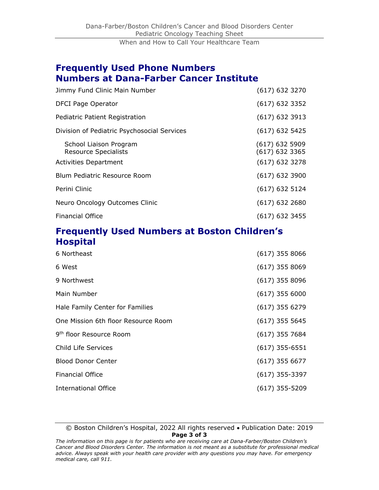### **Frequently Used Phone Numbers Numbers at Dana-Farber Cancer Institute**

| Jimmy Fund Clinic Main Number                                                         | $(617)$ 632 3270                                         |
|---------------------------------------------------------------------------------------|----------------------------------------------------------|
| <b>DFCI Page Operator</b>                                                             | $(617)$ 632 3352                                         |
| Pediatric Patient Registration                                                        | $(617)$ 632 3913                                         |
| Division of Pediatric Psychosocial Services                                           | $(617)$ 632 5425                                         |
| School Liaison Program<br><b>Resource Specialists</b><br><b>Activities Department</b> | $(617)$ 632 5909<br>$(617)$ 632 3365<br>$(617)$ 632 3278 |
| Blum Pediatric Resource Room                                                          | $(617)$ 632 3900                                         |
| Perini Clinic                                                                         | $(617)$ 632 5124                                         |
| Neuro Oncology Outcomes Clinic                                                        | $(617)$ 632 2680                                         |
| <b>Financial Office</b>                                                               | $(617)$ 632 3455                                         |

## **Frequently Used Numbers at Boston Children's Hospital**

| 6 Northeast                         | $(617)$ 355 8066 |
|-------------------------------------|------------------|
| 6 West                              | $(617)$ 355 8069 |
| 9 Northwest                         | $(617)$ 355 8096 |
| Main Number                         | $(617)$ 355 6000 |
| Hale Family Center for Families     | $(617)$ 355 6279 |
| One Mission 6th floor Resource Room | $(617)$ 355 5645 |
| 9 <sup>th</sup> floor Resource Room | $(617)$ 355 7684 |
| Child Life Services                 | $(617)$ 355-6551 |
| <b>Blood Donor Center</b>           | $(617)$ 355 6677 |
| <b>Financial Office</b>             | $(617)$ 355-3397 |
| International Office                | $(617)$ 355-5209 |

#### © Boston Children's Hospital, 2022 All rights reserved • Publication Date: 2019 **Page 3 of 3**

*The information on this page is for patients who are receiving care at Dana-Farber/Boston Children's Cancer and Blood Disorders Center. The information is not meant as a substitute for professional medical advice. Always speak with your health care provider with any questions you may have. For emergency medical care, call 911.*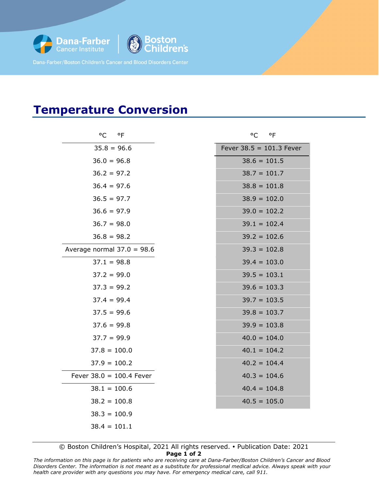

}oston<br>Children's

## **Temperature Conversion**

| °C<br>$^{\circ}$ F           | $^{\circ}$ F<br>°C   |
|------------------------------|----------------------|
| $35.8 = 96.6$                | Fever $38.5 = 101.3$ |
| $36.0 = 96.8$                | $38.6 = 101.5$       |
| $36.2 = 97.2$                | $38.7 = 101.7$       |
| $36.4 = 97.6$                | $38.8 = 101.8$       |
| $36.5 = 97.7$                | $38.9 = 102.0$       |
| $36.6 = 97.9$                | $39.0 = 102.2$       |
| $36.7 = 98.0$                | $39.1 = 102.4$       |
| $36.8 = 98.2$                | $39.2 = 102.6$       |
| Average normal $37.0 = 98.6$ | $39.3 = 102.8$       |
| $37.1 = 98.8$                | $39.4 = 103.0$       |
| $37.2 = 99.0$                | $39.5 = 103.1$       |
| $37.3 = 99.2$                | $39.6 = 103.3$       |
| $37.4 = 99.4$                | $39.7 = 103.5$       |
| $37.5 = 99.6$                | $39.8 = 103.7$       |
| $37.6 = 99.8$                | $39.9 = 103.8$       |
| $37.7 = 99.9$                | $40.0 = 104.0$       |
| $37.8 = 100.0$               | $40.1 = 104.2$       |
| $37.9 = 100.2$               | $40.2 = 104.4$       |
| Fever $38.0 = 100.4$ Fever   | $40.3 = 104.6$       |
| $38.1 = 100.6$               | $40.4 = 104.8$       |
| $38.2 = 100.8$               | $40.5 = 105.0$       |
| $38.3 = 100.9$               |                      |
| $38.4 = 101.1$               |                      |

| $^{\circ}$ C<br>$^{\circ}$ F | °C °F                      |
|------------------------------|----------------------------|
| $35.8 = 96.6$                | Fever $38.5 = 101.3$ Fever |
| $36.0 = 96.8$                | $38.6 = 101.5$             |
| $36.2 = 97.2$                | $38.7 = 101.7$             |
| $36.4 = 97.6$                | $38.8 = 101.8$             |
| $36.5 = 97.7$                | $38.9 = 102.0$             |
| $36.6 = 97.9$                | $39.0 = 102.2$             |
| $36.7 = 98.0$                | $39.1 = 102.4$             |
| $36.8 = 98.2$                | $39.2 = 102.6$             |
| 10rmal 37.0 = 98.6           | $39.3 = 102.8$             |
| $37.1 = 98.8$                | $39.4 = 103.0$             |
| $37.2 = 99.0$                | $39.5 = 103.1$             |
| $37.3 = 99.2$                | $39.6 = 103.3$             |
| $37.4 = 99.4$                | $39.7 = 103.5$             |
| $37.5 = 99.6$                | $39.8 = 103.7$             |
| $37.6 = 99.8$                | $39.9 = 103.8$             |
| $37.7 = 99.9$                | $40.0 = 104.0$             |
| $7.8 = 100.0$                | $40.1 = 104.2$             |
| $7.9 = 100.2$                | $40.2 = 104.4$             |
| $8.0 = 100.4$ Fever          | $40.3 = 104.6$             |
| $8.1 = 100.6$                | $40.4 = 104.8$             |
|                              |                            |

 $40.5 = 105.0$ 

© Boston Children's Hospital, 2021 All rights reserved. Publication Date: 2021

**Page 1 of 2**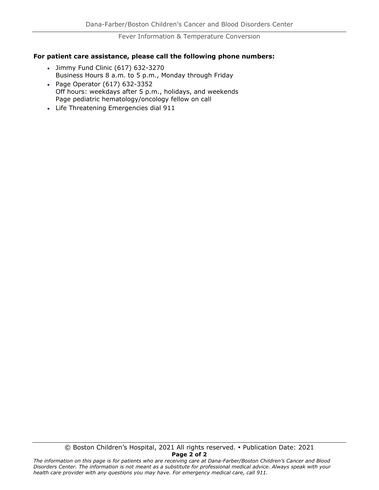Fever Information & Temperature Conversion

#### **For patient care assistance, please call the following phone numbers:**

- Jimmy Fund Clinic (617) 632-3270 Business Hours 8 a.m. to 5 p.m., Monday through Friday
- Page Operator (617) 632-3352 Off hours: weekdays after 5 p.m., holidays, and weekends Page pediatric hematology/oncology fellow on call
- Life Threatening Emergencies dial 911

© Boston Children's Hospital, 2021 All rights reserved. Publication Date: 2021 **Page 2 of 2**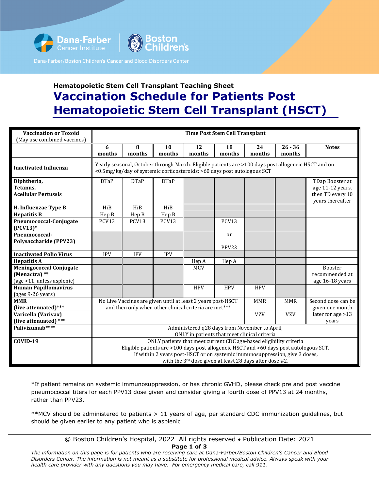

## **Hematopoietic Stem Cell Transplant Teaching Sheet Vaccination Schedule for Patients Post Hematopoietic Stem Cell Transplant (HSCT)**

| <b>Vaccination or Toxoid</b><br>(May use combined vaccines)                   | <b>Time Post Stem Cell Transplant</b>                                                                                                                                                                                                                                                                  |             |              |              |              |              |                     |                                                                             |
|-------------------------------------------------------------------------------|--------------------------------------------------------------------------------------------------------------------------------------------------------------------------------------------------------------------------------------------------------------------------------------------------------|-------------|--------------|--------------|--------------|--------------|---------------------|-----------------------------------------------------------------------------|
|                                                                               | 6<br>months                                                                                                                                                                                                                                                                                            | 8<br>months | 10<br>months | 12<br>months | 18<br>months | 24<br>months | $26 - 36$<br>months | <b>Notes</b>                                                                |
| <b>Inactivated Influenza</b>                                                  | Yearly seasonal, October through March. Eligible patients are >100 days post allogeneic HSCT and on<br><0.5mg/kg/day of systemic corticosteroids; >60 days post autologous SCT                                                                                                                         |             |              |              |              |              |                     |                                                                             |
| Diphtheria,<br>Tetanus,<br><b>Acellular Pertussis</b>                         | <b>DTaP</b>                                                                                                                                                                                                                                                                                            | <b>DTaP</b> | <b>DTaP</b>  |              |              |              |                     | TDap Booster at<br>age 11-12 years,<br>then TD every 10<br>years thereafter |
| H. Influenzae Type B                                                          | HiB                                                                                                                                                                                                                                                                                                    | HiB         | HiB          |              |              |              |                     |                                                                             |
| <b>Hepatitis B</b>                                                            | Hep B                                                                                                                                                                                                                                                                                                  | Hep B       | Hep B        |              |              |              |                     |                                                                             |
| Pneumococcal-Conjugate<br>$(PCV13)*$                                          | PCV13                                                                                                                                                                                                                                                                                                  | PCV13       | PCV13        |              | PCV13        |              |                     |                                                                             |
| Pneumococcal-<br><b>Polysaccharide (PPV23)</b>                                |                                                                                                                                                                                                                                                                                                        |             |              |              | or<br>PPV23  |              |                     |                                                                             |
| <b>Inactivated Polio Virus</b>                                                | <b>IPV</b>                                                                                                                                                                                                                                                                                             | <b>IPV</b>  | <b>IPV</b>   |              |              |              |                     |                                                                             |
| <b>Hepatitis A</b>                                                            |                                                                                                                                                                                                                                                                                                        |             |              | Hep A        | Hep A        |              |                     |                                                                             |
| <b>Meningococcal Conjugate</b><br>(Menactra) **<br>(age >11, unless asplenic) |                                                                                                                                                                                                                                                                                                        |             |              | <b>MCV</b>   |              |              |                     | Booster<br>recommended at<br>age 16-18 years                                |
| <b>Human Papillomavirus</b><br>(ages 9-26 years)                              |                                                                                                                                                                                                                                                                                                        |             |              | <b>HPV</b>   | <b>HPV</b>   | <b>HPV</b>   |                     |                                                                             |
| <b>MMR</b><br>(live attenuated)***                                            | No Live Vaccines are given until at least 2 years post-HSCT<br><b>MMR</b><br>Second dose can be<br><b>MMR</b><br>and then only when other clinical criteria are met***<br>given one month                                                                                                              |             |              |              |              |              |                     |                                                                             |
| Varicella (Varivax)<br>(live attenuated) ***                                  | later for age >13<br><b>VZV</b><br><b>VZV</b><br>years                                                                                                                                                                                                                                                 |             |              |              |              |              |                     |                                                                             |
| Palivizumab****                                                               | Administered q28 days from November to April,<br>ONLY in patients that meet clinical criteria                                                                                                                                                                                                          |             |              |              |              |              |                     |                                                                             |
| COVID-19                                                                      | ONLY patients that meet current CDC age-based eligibility criteria<br>Eligible patients are >100 days post allogeneic HSCT and >60 days post autologous SCT.<br>If within 2 years post-HSCT or on systemic immunosuppression, give 3 doses,<br>with the 3rd dose given at least 28 days after dose #2. |             |              |              |              |              |                     |                                                                             |

\*If patient remains on systemic immunosuppression, or has chronic GVHD, please check pre and post vaccine pneumococcal titers for each PPV13 dose given and consider giving a fourth dose of PPV13 at 24 months, rather than PPV23.

\*\*MCV should be administered to patients > 11 years of age, per standard CDC immunization guidelines, but should be given earlier to any patient who is asplenic

© Boston Children's Hospital, 2022 All rights reserved • Publication Date: 2021 **Page 1 of 3**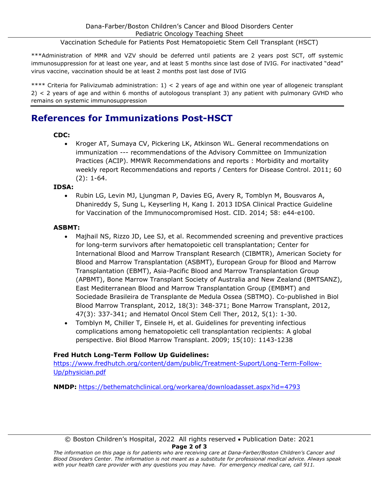Vaccination Schedule for Patients Post Hematopoietic Stem Cell Transplant (HSCT)

\*\*\*Administration of MMR and VZV should be deferred until patients are 2 years post SCT, off systemic immunosuppression for at least one year, and at least 5 months since last dose of IVIG. For inactivated "dead" virus vaccine, vaccination should be at least 2 months post last dose of IVIG

\*\*\*\* Criteria for Palivizumab administration: 1) < 2 years of age and within one year of allogeneic transplant 2) < 2 years of age and within 6 months of autologous transplant 3) any patient with pulmonary GVHD who remains on systemic immunosuppression

## **References for Immunizations Post-HSCT**

#### **CDC:**

• Kroger AT, Sumaya CV, Pickering LK, Atkinson WL. General recommendations on immunization --- recommendations of the Advisory Committee on Immunization Practices (ACIP). MMWR Recommendations and reports : Morbidity and mortality weekly report Recommendations and reports / Centers for Disease Control. 2011; 60 (2): 1-64.

#### **IDSA:**

• Rubin LG, Levin MJ, Ljungman P, Davies EG, Avery R, Tomblyn M, Bousvaros A, Dhanireddy S, Sung L, Keyserling H, Kang I. 2013 IDSA Clinical Practice Guideline for Vaccination of the Immunocompromised Host. CID. 2014; 58: e44-e100.

#### **ASBMT:**

- Majhail NS, Rizzo JD, Lee SJ, et al. Recommended screening and preventive practices for long-term survivors after hematopoietic cell transplantation; Center for International Blood and Marrow Transplant Research (CIBMTR), American Society for Blood and Marrow Transplantation (ASBMT), European Group for Blood and Marrow Transplantation (EBMT), Asia-Pacific Blood and Marrow Transplantation Group (APBMT), Bone Marrow Transplant Society of Australia and New Zealand (BMTSANZ), East Mediterranean Blood and Marrow Transplantation Group (EMBMT) and Sociedade Brasileira de Transplante de Medula Ossea (SBTMO). Co-published in Biol Blood Marrow Transplant, 2012, 18(3): 348-371; Bone Marrow Transplant, 2012, 47(3): 337-341; and Hematol Oncol Stem Cell Ther, 2012, 5(1): 1-30.
- Tomblyn M, Chiller T, Einsele H, et al. Guidelines for preventing infectious complications among hematopoietic cell transplantation recipients: A global perspective. Biol Blood Marrow Transplant. 2009; 15(10): 1143-1238

#### **Fred Hutch Long-Term Follow Up Guidelines:**

[https://www.fredhutch.org/content/dam/public/Treatment-Suport/Long-Term-Follow-](https://www.fredhutch.org/content/dam/public/Treatment-Suport/Long-Term-Follow-Up/physician.pdf)[Up/physician.pdf](https://www.fredhutch.org/content/dam/public/Treatment-Suport/Long-Term-Follow-Up/physician.pdf)

**NMDP:** <https://bethematchclinical.org/workarea/downloadasset.aspx?id=4793>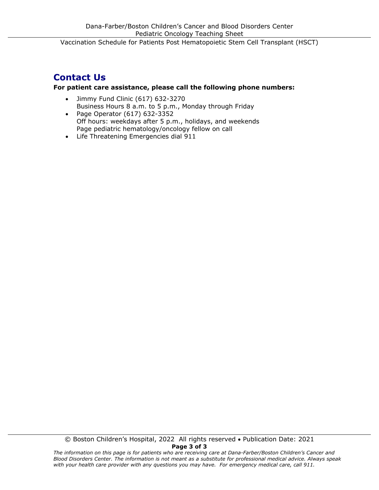## **Contact Us**

#### **For patient care assistance, please call the following phone numbers:**

- Jimmy Fund Clinic (617) 632-3270 Business Hours 8 a.m. to 5 p.m., Monday through Friday
- Page Operator (617) 632-3352 Off hours: weekdays after 5 p.m., holidays, and weekends Page pediatric hematology/oncology fellow on call
- Life Threatening Emergencies dial 911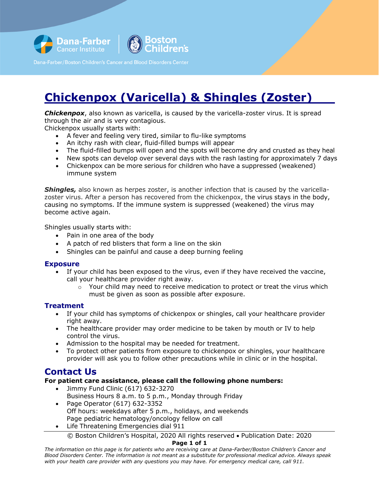



## **Chickenpox (Varicella) & Shingles (Zoster)**

**Chickenpox**, also known as varicella, is caused by the varicella-zoster virus. It is spread through the air and is very contagious.

Chickenpox usually starts with:

- A fever and feeling very tired, similar to flu-like symptoms
- An itchy rash with clear, fluid-filled bumps will appear
- The fluid-filled bumps will open and the spots will become dry and crusted as they heal
- New spots can develop over several days with the rash lasting for approximately 7 days
- Chickenpox can be more serious for children who have a suppressed (weakened) immune system

**Shingles,** also known as herpes zoster, is another infection that is caused by the varicellazoster virus. After a person has recovered from the chickenpox, the virus stays in the body, causing no symptoms. If the immune system is suppressed (weakened) the virus may become active again.

Shingles usually starts with:

- Pain in one area of the body
- A patch of red blisters that form a line on the skin
- Shingles can be painful and cause a deep burning feeling

#### **Exposure**

- If your child has been exposed to the virus, even if they have received the vaccine, call your healthcare provider right away.
	- $\circ$  Your child may need to receive medication to protect or treat the virus which must be given as soon as possible after exposure.

#### **Treatment**

- If your child has symptoms of chickenpox or shingles, call your healthcare provider right away.
- The healthcare provider may order medicine to be taken by mouth or IV to help control the virus.
- Admission to the hospital may be needed for treatment.
- To protect other patients from exposure to chickenpox or shingles, your healthcare provider will ask you to follow other precautions while in clinic or in the hospital.

## **Contact Us**

#### **For patient care assistance, please call the following phone numbers:**

- Jimmy Fund Clinic (617) 632-3270 Business Hours 8 a.m. to 5 p.m., Monday through Friday • Page Operator (617) 632-3352
	- Off hours: weekdays after 5 p.m., holidays, and weekends
- Page pediatric hematology/oncology fellow on call
- Life Threatening Emergencies dial 911

© Boston Children's Hospital, 2020 All rights reserved • Publication Date: 2020 **Page 1 of 1**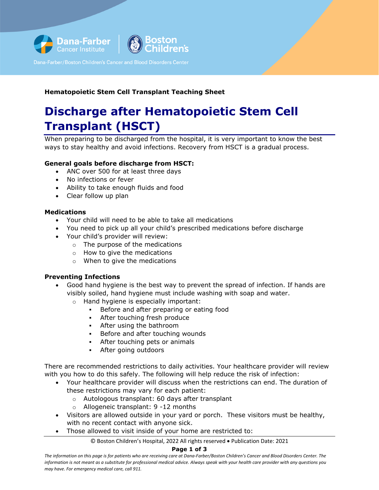

#### **Hematopoietic Stem Cell Transplant Teaching Sheet**

## **Discharge after Hematopoietic Stem Cell Transplant (HSCT)**

When preparing to be discharged from the hospital, it is very important to know the best ways to stay healthy and avoid infections. Recovery from HSCT is a gradual process.

#### **General goals before discharge from HSCT:**

- ANC over 500 for at least three days
- No infections or fever
- Ability to take enough fluids and food
- Clear follow up plan

#### **Medications**

- Your child will need to be able to take all medications
- You need to pick up all your child's prescribed medications before discharge
- Your child's provider will review:
	- o The purpose of the medications
	- o How to give the medications
	- o When to give the medications

#### **Preventing Infections**

- Good hand hygiene is the best way to prevent the spread of infection. If hands are visibly soiled, hand hygiene must include washing with soap and water.
	- o Hand hygiene is especially important:
		- **Before and after preparing or eating food**
		- After touching fresh produce
		- After using the bathroom
		- **Before and after touching wounds**
		- **After touching pets or animals**
		- After going outdoors

There are recommended restrictions to daily activities. Your healthcare provider will review with you how to do this safely. The following will help reduce the risk of infection:

- Your healthcare provider will discuss when the restrictions can end. The duration of these restrictions may vary for each patient:
	- o Autologous transplant: 60 days after transplant
	- o Allogeneic transplant: 9 -12 months
- Visitors are allowed outside in your yard or porch. These visitors must be healthy, with no recent contact with anyone sick.
- Those allowed to visit inside of your home are restricted to:

© Boston Children's Hospital, 2022 All rights reserved • Publication Date: 2021

#### **Page 1 of 3**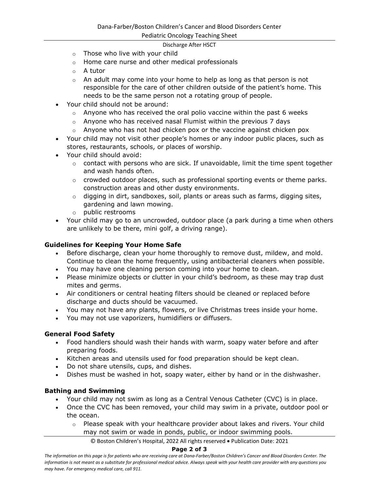Pediatric Oncology Teaching Sheet

#### Discharge After HSCT

- o Those who live with your child
- o Home care nurse and other medical professionals
- $\circ$  A tutor
- $\circ$  An adult may come into your home to help as long as that person is not responsible for the care of other children outside of the patient's home. This needs to be the same person not a rotating group of people.
- Your child should not be around:
	- o Anyone who has received the oral polio vaccine within the past 6 weeks
	- $\circ$  Anyone who has received nasal Flumist within the previous 7 days
	- $\circ$  Anyone who has not had chicken pox or the vaccine against chicken pox
- Your child may not visit other people's homes or any indoor public places, such as stores, restaurants, schools, or places of worship.
- Your child should avoid:
	- $\circ$  contact with persons who are sick. If unavoidable, limit the time spent together and wash hands often.
	- o crowded outdoor places, such as professional sporting events or theme parks. construction areas and other dusty environments.
	- $\circ$  digging in dirt, sandboxes, soil, plants or areas such as farms, digging sites, gardening and lawn mowing.
	- o public restrooms
- Your child may go to an uncrowded, outdoor place (a park during a time when others are unlikely to be there, mini golf, a driving range).

#### **Guidelines for Keeping Your Home Safe**

- Before discharge, clean your home thoroughly to remove dust, mildew, and mold. Continue to clean the home frequently, using antibacterial cleaners when possible.
- You may have one cleaning person coming into your home to clean.
- Please minimize objects or clutter in your child's bedroom, as these may trap dust mites and germs.
- Air conditioners or central heating filters should be cleaned or replaced before discharge and ducts should be vacuumed.
- You may not have any plants, flowers, or live Christmas trees inside your home.
- You may not use vaporizers, humidifiers or diffusers.

#### **General Food Safety**

- Food handlers should wash their hands with warm, soapy water before and after preparing foods.
- Kitchen areas and utensils used for food preparation should be kept clean.
- Do not share utensils, cups, and dishes.
- Dishes must be washed in hot, soapy water, either by hand or in the dishwasher.

#### **Bathing and Swimming**

- Your child may not swim as long as a Central Venous Catheter (CVC) is in place.
- Once the CVC has been removed, your child may swim in a private, outdoor pool or the ocean.
	- $\circ$  Please speak with your healthcare provider about lakes and rivers. Your child may not swim or wade in ponds, public, or indoor swimming pools.

© Boston Children's Hospital, 2022 All rights reserved • Publication Date: 2021

#### **Page 2 of 3**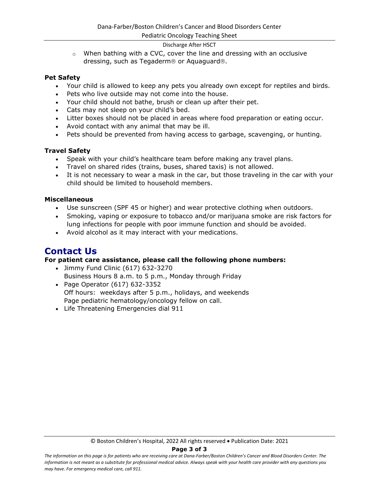#### Pediatric Oncology Teaching Sheet

#### Discharge After HSCT

 $\circ$  When bathing with a CVC, cover the line and dressing with an occlusive dressing, such as Tegaderm<sup>®</sup> or Aquaguard®.

#### **Pet Safety**

- Your child is allowed to keep any pets you already own except for reptiles and birds.
- Pets who live outside may not come into the house.
- Your child should not bathe, brush or clean up after their pet.
- Cats may not sleep on your child's bed.
- Litter boxes should not be placed in areas where food preparation or eating occur.
- Avoid contact with any animal that may be ill.
- Pets should be prevented from having access to garbage, scavenging, or hunting.

#### **Travel Safety**

- Speak with your child's healthcare team before making any travel plans.
- Travel on shared rides (trains, buses, shared taxis) is not allowed.
- It is not necessary to wear a mask in the car, but those traveling in the car with your child should be limited to household members.

#### **Miscellaneous**

- Use sunscreen (SPF 45 or higher) and wear protective clothing when outdoors.
- Smoking, vaping or exposure to tobacco and/or marijuana smoke are risk factors for lung infections for people with poor immune function and should be avoided.
- Avoid alcohol as it may interact with your medications.

### **Contact Us**

#### **For patient care assistance, please call the following phone numbers:**

- Jimmy Fund Clinic (617) 632-3270 Business Hours 8 a.m. to 5 p.m., Monday through Friday
- Page Operator (617) 632-3352 Off hours: weekdays after 5 p.m., holidays, and weekends Page pediatric hematology/oncology fellow on call.
- Life Threatening Emergencies dial 911

#### **Page 3 of 3**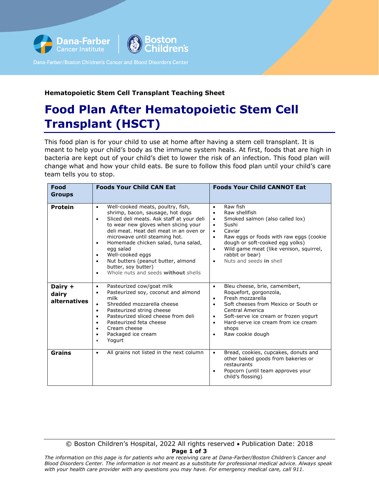

#### **Hematopoietic Stem Cell Transplant Teaching Sheet**

## **Food Plan After Hematopoietic Stem Cell Transplant (HSCT)**

ens:

This food plan is for your child to use at home after having a stem cell transplant. It is meant to help your child's body as the immune system heals. At first, foods that are high in bacteria are kept out of your child's diet to lower the risk of an infection. This food plan will change what and how your child eats. Be sure to follow this food plan until your child's care team tells you to stop.

| Food<br>Groups                   | <b>Foods Your Child CAN Eat</b>                                                                                                                                                                                                                                                                                                                                                                                                                          | <b>Foods Your Child CANNOT Eat</b>                                                                                                                                                                                                                                                                                                                             |
|----------------------------------|----------------------------------------------------------------------------------------------------------------------------------------------------------------------------------------------------------------------------------------------------------------------------------------------------------------------------------------------------------------------------------------------------------------------------------------------------------|----------------------------------------------------------------------------------------------------------------------------------------------------------------------------------------------------------------------------------------------------------------------------------------------------------------------------------------------------------------|
| <b>Protein</b>                   | Well-cooked meats, poultry, fish,<br>$\bullet$<br>shrimp, bacon, sausage, hot dogs<br>Sliced deli meats. Ask staff at your deli<br>٠<br>to wear new gloves when slicing your<br>deli meat. Heat deli meat in an oven or<br>microwave until steaming hot.<br>Homemade chicken salad, tuna salad,<br>٠<br>egg salad<br>Well-cooked eggs<br>٠<br>Nut butters (peanut butter, almond<br>٠<br>butter, soy butter)<br>Whole nuts and seeds without shells<br>٠ | Raw fish<br>$\bullet$<br>Raw shellfish<br>$\bullet$<br>Smoked salmon (also called lox)<br>$\bullet$<br>Sushi<br>$\bullet$<br>Caviar<br>$\bullet$<br>Raw eggs or foods with raw eggs (cookie<br>$\bullet$<br>dough or soft-cooked egg yolks)<br>Wild game meat (like venison, squirrel,<br>$\bullet$<br>rabbit or bear)<br>Nuts and seeds in shell<br>$\bullet$ |
| Dairy +<br>dairy<br>alternatives | Pasteurized cow/goat milk<br>$\bullet$<br>Pasteurized soy, coconut and almond<br>٠<br>milk<br>Shredded mozzarella cheese<br>٠<br>Pasteurized string cheese<br>٠<br>Pasteurized sliced cheese from deli<br>Pasteurized feta cheese<br>٠<br>Cream cheese<br>$\bullet$<br>Packaged ice cream<br>٠<br>Yogurt                                                                                                                                                 | Bleu cheese, brie, camembert,<br>$\bullet$<br>Roquefort, gorgonzola,<br>Fresh mozzarella<br>$\bullet$<br>Soft cheeses from Mexico or South or<br>Central America<br>Soft-serve ice cream or frozen yogurt<br>$\bullet$<br>Hard-serve ice cream from ice cream<br>$\bullet$<br>shops<br>Raw cookie dough<br>$\bullet$                                           |
| Grains                           | All grains not listed in the next column<br>$\bullet$                                                                                                                                                                                                                                                                                                                                                                                                    | Bread, cookies, cupcakes, donuts and<br>$\bullet$<br>other baked goods from bakeries or<br>restaurants<br>Popcorn (until team approves your<br>$\bullet$<br>child's flossing)                                                                                                                                                                                  |

© Boston Children's Hospital, 2022 All rights reserved • Publication Date: 2018 **Page 1 of 3**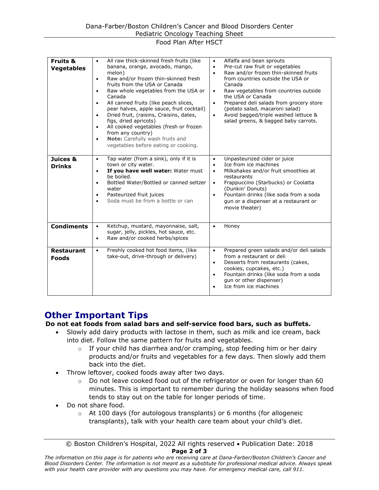#### Food Plan After HSCT

| <b>Fruits &amp;</b><br><b>Vegetables</b> | All raw thick-skinned fresh fruits (like<br>$\bullet$<br>banana, orange, avocado, mango,<br>melon)<br>Raw and/or frozen thin-skinned fresh<br>$\bullet$<br>fruits from the USA or Canada<br>Raw whole vegetables from the USA or<br>٠<br>Canada<br>All canned fruits (like peach slices,<br>$\bullet$<br>pear halves, apple sauce, fruit cocktail)<br>Dried fruit, (raisins, Craisins, dates,<br>$\bullet$<br>figs, dried apricots)<br>All cooked vegetables (fresh or frozen<br>$\bullet$<br>from any country)<br>Note: Carefully wash fruits and<br>$\bullet$<br>vegetables before eating or cooking. | Alfalfa and bean sprouts<br>$\bullet$<br>Pre-cut raw fruit or vegetables<br>$\bullet$<br>Raw and/or frozen thin-skinned fruits<br>$\bullet$<br>from countries outside the USA or<br>Canada<br>Raw vegetables from countries outside<br>$\bullet$<br>the USA or Canada<br>Prepared deli salads from grocery store<br>$\bullet$<br>(potato salad, macaroni salad)<br>Avoid bagged/triple washed lettuce &<br>$\bullet$<br>salad greens, & bagged baby carrots. |
|------------------------------------------|---------------------------------------------------------------------------------------------------------------------------------------------------------------------------------------------------------------------------------------------------------------------------------------------------------------------------------------------------------------------------------------------------------------------------------------------------------------------------------------------------------------------------------------------------------------------------------------------------------|--------------------------------------------------------------------------------------------------------------------------------------------------------------------------------------------------------------------------------------------------------------------------------------------------------------------------------------------------------------------------------------------------------------------------------------------------------------|
| Juices &<br><b>Drinks</b>                | Tap water (from a sink), only if it is<br>$\bullet$<br>town or city water.<br>If you have well water: Water must<br>$\bullet$<br>be boiled.<br>Bottled Water/Bottled or canned seltzer<br>$\bullet$<br>water<br>Pasteurized fruit juices<br>$\bullet$<br>Soda must be from a bottle or can<br>$\bullet$                                                                                                                                                                                                                                                                                                 | Unpasteurized cider or juice<br>$\bullet$<br>Ice from ice machines<br>$\bullet$<br>Milkshakes and/or fruit smoothies at<br>$\bullet$<br>restaurants<br>Frappuccino (Starbucks) or Coolatta<br>$\bullet$<br>(Dunkin' Donuts)<br>Fountain drinks (like soda from a soda<br>$\bullet$<br>gun or a dispenser at a restaurant or<br>movie theater)                                                                                                                |
| <b>Condiments</b>                        | Ketchup, mustard, mayonnaise, salt,<br>$\bullet$<br>sugar, jelly, pickles, hot sauce, etc.<br>Raw and/or cooked herbs/spices<br>$\bullet$                                                                                                                                                                                                                                                                                                                                                                                                                                                               | Honey<br>$\bullet$                                                                                                                                                                                                                                                                                                                                                                                                                                           |
| <b>Restaurant</b><br><b>Foods</b>        | Freshly cooked hot food items, (like<br>$\bullet$<br>take-out, drive-through or delivery)                                                                                                                                                                                                                                                                                                                                                                                                                                                                                                               | Prepared green salads and/or deli salads<br>$\bullet$<br>from a restaurant or deli<br>Desserts from restaurants (cakes,<br>$\bullet$<br>cookies, cupcakes, etc.)<br>Fountain drinks (like soda from a soda<br>$\bullet$<br>qun or other dispenser)<br>Ice from ice machines                                                                                                                                                                                  |

## **Other Important Tips**

#### **Do not eat foods from salad bars and self-service food bars, such as buffets.**

- Slowly add dairy products with lactose in them, such as milk and ice cream, back into diet. Follow the same pattern for fruits and vegetables.
	- $\circ$  If your child has diarrhea and/or cramping, stop feeding him or her dairy products and/or fruits and vegetables for a few days. Then slowly add them back into the diet.
- Throw leftover, cooked foods away after two days.
	- $\circ$  Do not leave cooked food out of the refrigerator or oven for longer than 60 minutes. This is important to remember during the holiday seasons when food tends to stay out on the table for longer periods of time.
- Do not share food.
	- $\circ$  At 100 days (for autologous transplants) or 6 months (for allogeneic transplants), talk with your health care team about your child's diet.

*The information on this page is for patients who are receiving care at Dana-Farber/Boston Children's Cancer and Blood Disorders Center. The information is not meant as a substitute for professional medical advice. Always speak with your health care provider with any questions you may have. For emergency medical care, call 911.*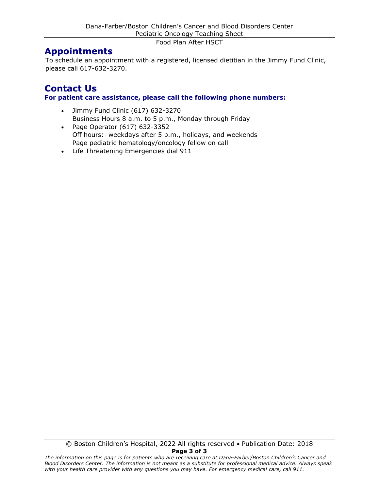Food Plan After HSCT

## **Appointments**

To schedule an appointment with a registered, licensed dietitian in the Jimmy Fund Clinic, please call 617-632-3270.

### **Contact Us For patient care assistance, please call the following phone numbers:**

- Jimmy Fund Clinic (617) 632-3270 Business Hours 8 a.m. to 5 p.m., Monday through Friday
- Page Operator (617) 632-3352 Off hours: weekdays after 5 p.m., holidays, and weekends Page pediatric hematology/oncology fellow on call
- Life Threatening Emergencies dial 911